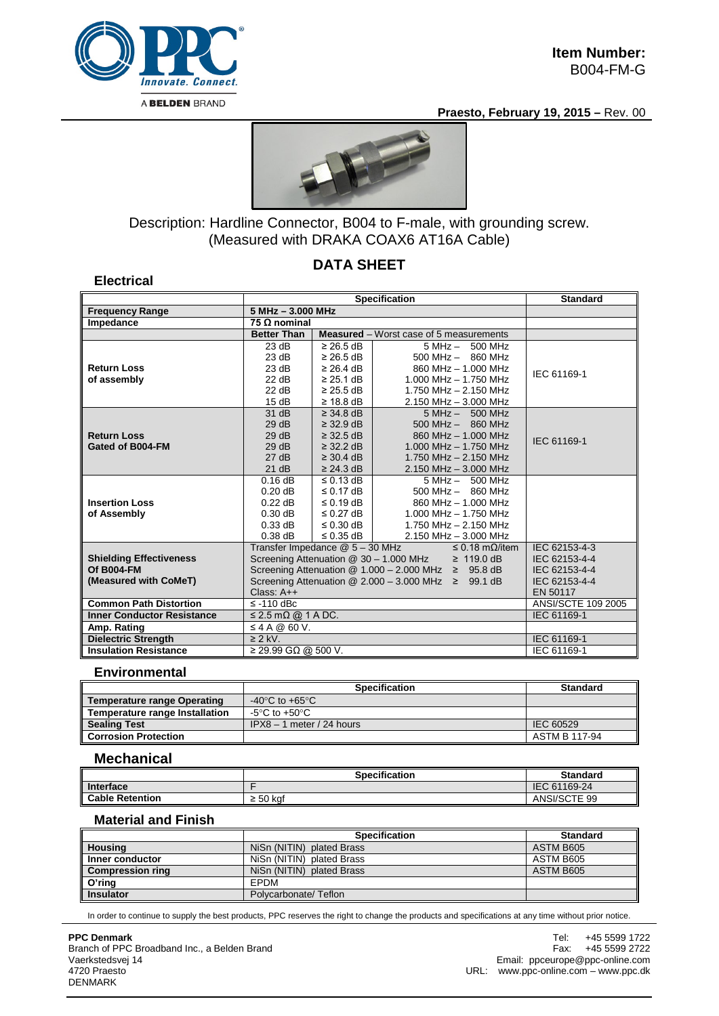

**Electrical**

**Praesto, February 19, 2015 –** Rev. 00



## Description: Hardline Connector, B004 to F-male, with grounding screw. (Measured with DRAKA COAX6 AT16A Cable)

## **DATA SHEET**

|                                              | <b>Specification</b>                                                                                                                   |                                                                                                                              |                                                | <b>Standard</b> |  |
|----------------------------------------------|----------------------------------------------------------------------------------------------------------------------------------------|------------------------------------------------------------------------------------------------------------------------------|------------------------------------------------|-----------------|--|
| <b>Frequency Range</b>                       |                                                                                                                                        | $5 MHz - 3.000 MHz$                                                                                                          |                                                |                 |  |
| Impedance                                    | 75 $\Omega$ nominal                                                                                                                    |                                                                                                                              |                                                |                 |  |
|                                              | <b>Better Than</b>                                                                                                                     |                                                                                                                              | <b>Measured</b> – Worst case of 5 measurements |                 |  |
|                                              | 23 dB                                                                                                                                  | $\geq$ 26.5 dB                                                                                                               | 5 MHz - 500 MHz                                |                 |  |
|                                              | 23 dB                                                                                                                                  | $\geq$ 26.5 dB                                                                                                               | $500$ MHz $-$ 860 MHz                          |                 |  |
| <b>Return Loss</b>                           | 23 dB                                                                                                                                  | $\geq$ 26.4 dB                                                                                                               | 860 MHz - 1.000 MHz                            | IEC 61169-1     |  |
| of assembly                                  | 22 dB                                                                                                                                  | $\geq$ 25.1 dB                                                                                                               | 1.000 MHz $-$ 1.750 MHz                        |                 |  |
|                                              | 22 dB                                                                                                                                  | $\geq$ 25.5 dB                                                                                                               | 1.750 MHz - 2.150 MHz                          |                 |  |
|                                              | 15dB                                                                                                                                   | $\geq$ 18.8 dB                                                                                                               | $2.150$ MHz $- 3.000$ MHz                      |                 |  |
|                                              | 31 dB                                                                                                                                  | $\geq$ 34.8 dB                                                                                                               | $5 MHz - 500 MHz$                              |                 |  |
|                                              | 29dB                                                                                                                                   | $\geq$ 32.9 dB                                                                                                               | $500$ MHz $-$ 860 MHz                          |                 |  |
| <b>Return Loss</b>                           | 29dB                                                                                                                                   | $\geq$ 32.5 dB                                                                                                               | 860 MHz - 1,000 MHz                            | IEC 61169-1     |  |
| Gated of B004-FM                             | 29dB                                                                                                                                   | $\geq$ 32.2 dB                                                                                                               | $1.000$ MHz $- 1.750$ MHz                      |                 |  |
|                                              | 27 dB                                                                                                                                  | $\geq$ 30.4 dB                                                                                                               | 1.750 MHz $- 2.150$ MHz                        |                 |  |
|                                              | 21 dB                                                                                                                                  | $\geq$ 24.3 dB                                                                                                               | 2.150 MHz - 3.000 MHz                          |                 |  |
|                                              | 0.16dB                                                                                                                                 | $\leq$ 0.13 dB                                                                                                               | $5 MHz - 500 MHz$                              |                 |  |
|                                              | $0.20$ dB                                                                                                                              | $\leq$ 0.17 dB                                                                                                               | $500$ MHz $-$ 860 MHz                          |                 |  |
| <b>Insertion Loss</b>                        | $0.22$ dB                                                                                                                              | $\leq$ 0.19 dB                                                                                                               | 860 MHz - 1.000 MHz                            |                 |  |
| of Assembly                                  | $0.30$ dB                                                                                                                              | $\leq$ 0.27 dB                                                                                                               | $1.000$ MHz $- 1.750$ MHz                      |                 |  |
|                                              | $0.33$ dB                                                                                                                              | $\leq$ 0.30 dB                                                                                                               | 1.750 MHz - 2.150 MHz                          |                 |  |
|                                              | $0.38$ dB                                                                                                                              | $\leq$ 0.35 dB                                                                                                               | 2.150 MHz - 3.000 MHz                          | IEC 62153-4-3   |  |
|                                              |                                                                                                                                        | Transfer Impedance @ 5 - 30 MHz<br>$\leq$ 0.18 m $\Omega$ /item<br>Screening Attenuation @ 30 - 1.000 MHz<br>$\geq 119.0$ dB |                                                |                 |  |
| <b>Shielding Effectiveness</b><br>Of B004-FM |                                                                                                                                        | IEC 62153-4-4                                                                                                                |                                                |                 |  |
| (Measured with CoMeT)                        | Screening Attenuation @ $1.000 - 2.000$ MHz $\geq$ 95.8 dB<br>Screening Attenuation $@ 2.000 - 3.000 \text{ MHz} \geq 99.1 \text{ dB}$ |                                                                                                                              | IEC 62153-4-4<br>IEC 62153-4-4                 |                 |  |
|                                              |                                                                                                                                        | EN 50117                                                                                                                     |                                                |                 |  |
| <b>Common Path Distortion</b>                |                                                                                                                                        | Class: $A++$                                                                                                                 |                                                |                 |  |
| <b>Inner Conductor Resistance</b>            |                                                                                                                                        | $\le$ -110 dBc<br>$\leq$ 2.5 m $\Omega$ @ 1 A DC.                                                                            |                                                |                 |  |
| Amp. Rating                                  | $\leq$ 4 A @ 60 V.                                                                                                                     | IEC 61169-1                                                                                                                  |                                                |                 |  |
|                                              | $\overline{\geq}$ 2 kV.                                                                                                                | IEC 61169-1                                                                                                                  |                                                |                 |  |
| <b>Dielectric Strength</b>                   |                                                                                                                                        |                                                                                                                              |                                                |                 |  |
| <b>Insulation Resistance</b>                 | $≥$ 29.99 GΩ @ 500 V.                                                                                                                  |                                                                                                                              |                                                | IEC 61169-1     |  |

### **Environmental**

|                                       | <b>Specification</b>                 | <b>Standard</b> |
|---------------------------------------|--------------------------------------|-----------------|
| <b>Temperature range Operating</b>    | -40 $^{\circ}$ C to +65 $^{\circ}$ C |                 |
| <b>Temperature range Installation</b> | -5°C to +50°C                        |                 |
| <b>Sealing Test</b>                   | $IPX8 - 1$ meter / 24 hours          | IEC 60529       |
| <b>Corrosion Protection</b>           |                                      | ASTM B 117-94   |

#### **Mechanical**

|                        | <b>Specification</b> | <b>Standard</b> |
|------------------------|----------------------|-----------------|
| Interface              |                      | IEC 61169-24    |
| <b>Cable Retention</b> | 50 kaf<br>-          | ANSI/SCTE 99    |

### **Material and Finish**

|                         | <b>Specification</b>      | <b>Standard</b> |
|-------------------------|---------------------------|-----------------|
| <b>Housing</b>          | NiSn (NITIN) plated Brass | ASTM B605       |
| Inner conductor         | NiSn (NITIN) plated Brass | ASTM B605       |
| <b>Compression ring</b> | NiSn (NITIN) plated Brass | ASTM B605       |
| O'ring                  | <b>FPDM</b>               |                 |
| <b>Insulator</b>        | Polycarbonate/Teflon      |                 |

In order to continue to supply the best products, PPC reserves the right to change the products and specifications at any time without prior notice.

# **PPC Denmark**

Branch of PPC Broadband Inc., a Belden Brand Vaerkstedsvej 14 4720 Praesto DENMARK